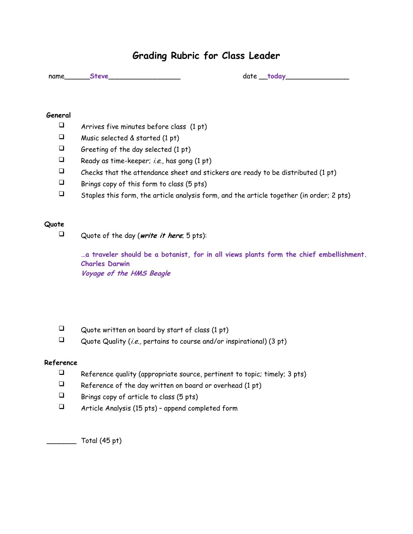## **Grading Rubric for Class Leader**

name\_\_\_\_\_\_**Steve**\_\_\_\_\_\_\_\_\_\_\_\_\_\_\_\_\_ date \_\_**today**\_\_\_\_\_\_\_\_\_\_\_\_\_\_\_

#### **General**

- $\Box$  Arrives five minutes before class (1 pt)
- $\Box$  Music selected & started (1 pt)
- $\Box$  Greeting of the day selected (1 pt)
- $\Box$  Ready as time-keeper; *i.e.*, has gong (1 pt)
- $\square$  Checks that the attendance sheet and stickers are ready to be distributed (1 pt)
- $\Box$  Brings copy of this form to class (5 pts)
- $\square$  Staples this form, the article analysis form, and the article together (in order; 2 pts)

### **Quote**

Quote of the day (**write it here**; 5 pts):

**…a traveler should be a botanist, for in all views plants form the chief embellishment. Charles Darwin Voyage of the HMS Beagle**

- $\Box$  Quote written on board by start of class (1 pt)
- Quote Quality (*i.e.*, pertains to course and/or inspirational) (3 pt)

### **Reference**

- $\Box$  Reference quality (appropriate source, pertinent to topic; timely; 3 pts)
- $\Box$  Reference of the day written on board or overhead (1 pt)
- $\Box$  Brings copy of article to class (5 pts)
- $\Box$  Article Analysis (15 pts) append completed form

 $\sqrt{1 - 1}$  Total (45 pt)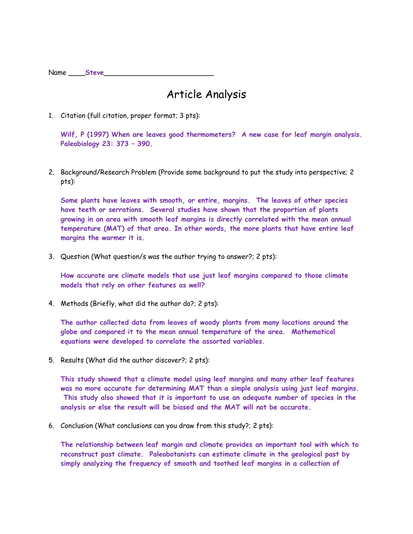Name Steve

# Article Analysis

1. Citation (full citation, proper format; 3 pts):

**Wilf, P (1997) When are leaves good thermometers? A new case for leaf margin analysis. Paleobiology 23: 373 – 390.** 

2. Background/Research Problem (Provide some background to put the study into perspective; 2 pts):

**Some plants have leaves with smooth, or entire, margins. The leaves of other species have teeth or serrations. Several studies have shown that the proportion of plants growing in an area with smooth leaf margins is directly correlated with the mean annual temperature (MAT) of that area. In other words, the more plants that have entire leaf margins the warmer it is.** 

3. Question (What question/s was the author trying to answer?; 2 pts):

**How accurate are climate models that use just leaf margins compared to those climate models that rely on other features as well?**

4. Methods (Briefly, what did the author do?; 2 pts):

**The author collected data from leaves of woody plants from many locations around the globe and compared it to the mean annual temperature of the area. Mathematical equations were developed to correlate the assorted variables.**

5. Results (What did the author discover?; 2 pts):

**This study showed that a climate model using leaf margins and many other leaf features was no more accurate for determining MAT than a simple analysis using just leaf margins. This study also showed that it is important to use an adequate number of species in the analysis or else the result will be biased and the MAT will not be accurate.** 

6. Conclusion (What conclusions can you draw from this study?; 2 pts):

**The relationship between leaf margin and climate provides an important tool with which to reconstruct past climate. Paleobotanists can estimate climate in the geological past by simply analyzing the frequency of smooth and toothed leaf margins in a collection of**